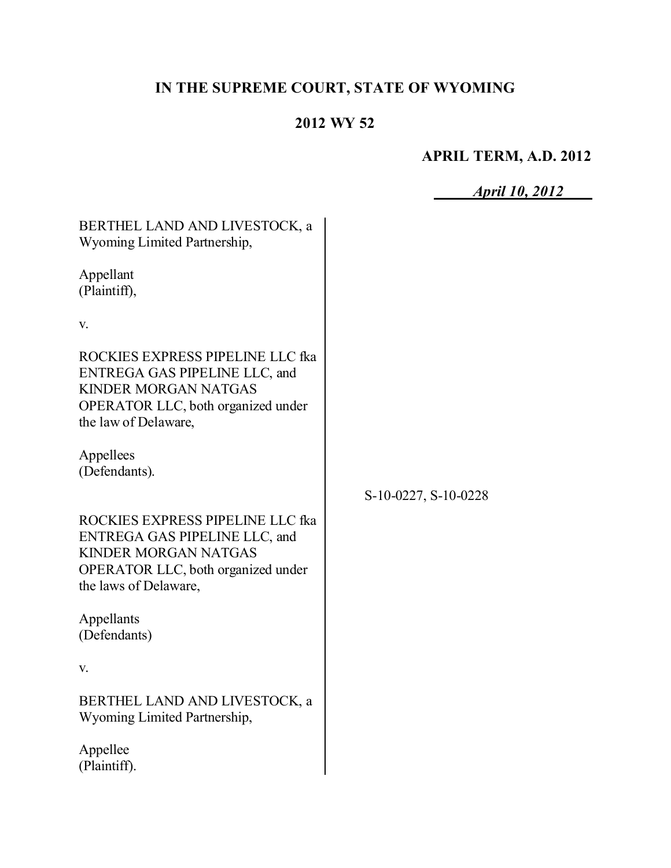# **IN THE SUPREME COURT, STATE OF WYOMING**

## **2012 WY 52**

# **APRIL TERM, A.D. 2012**

*April 10, 2012*

| BERTHEL LAND AND LIVESTOCK, a<br>Wyoming Limited Partnership,                                                                                                                  |                      |
|--------------------------------------------------------------------------------------------------------------------------------------------------------------------------------|----------------------|
| Appellant<br>(Plaintiff),                                                                                                                                                      |                      |
| V.                                                                                                                                                                             |                      |
| ROCKIES EXPRESS PIPELINE LLC fka<br><b>ENTREGA GAS PIPELINE LLC, and</b><br><b>KINDER MORGAN NATGAS</b><br><b>OPERATOR LLC</b> , both organized under<br>the law of Delaware,  |                      |
| Appellees<br>(Defendants).                                                                                                                                                     |                      |
|                                                                                                                                                                                | S-10-0227, S-10-0228 |
| ROCKIES EXPRESS PIPELINE LLC fka<br><b>ENTREGA GAS PIPELINE LLC, and</b><br><b>KINDER MORGAN NATGAS</b><br><b>OPERATOR LLC</b> , both organized under<br>the laws of Delaware, |                      |
| Appellants<br>(Defendants)                                                                                                                                                     |                      |
| V.                                                                                                                                                                             |                      |
| BERTHEL LAND AND LIVESTOCK. a<br>Wyoming Limited Partnership,                                                                                                                  |                      |
| Appellee<br>(Plaintiff).                                                                                                                                                       |                      |
|                                                                                                                                                                                |                      |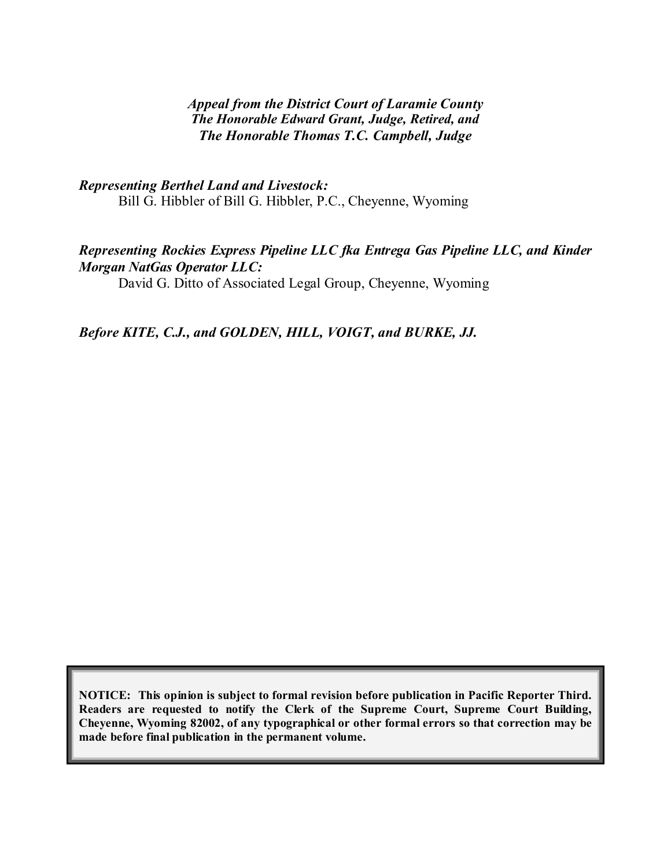#### *Appeal from the District Court of Laramie County The Honorable Edward Grant, Judge, Retired, and The Honorable Thomas T.C. Campbell, Judge*

*Representing Berthel Land and Livestock:* Bill G. Hibbler of Bill G. Hibbler, P.C., Cheyenne, Wyoming

#### *Representing Rockies Express Pipeline LLC fka Entrega Gas Pipeline LLC, and Kinder Morgan NatGas Operator LLC:*

David G. Ditto of Associated Legal Group, Cheyenne, Wyoming

*Before KITE, C.J., and GOLDEN, HILL, VOIGT, and BURKE, JJ.*

**NOTICE: This opinion is subject to formal revision before publication in Pacific Reporter Third. Readers are requested to notify the Clerk of the Supreme Court, Supreme Court Building, Cheyenne, Wyoming 82002, of any typographical or other formal errors so that correction may be made before final publication in the permanent volume.**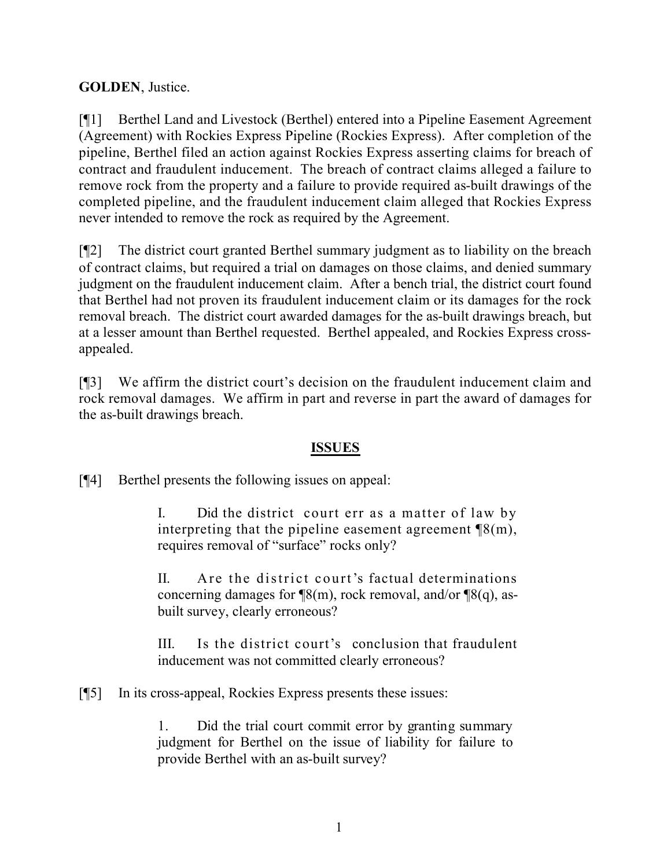### **GOLDEN**, Justice.

[¶1] Berthel Land and Livestock (Berthel) entered into a Pipeline Easement Agreement (Agreement) with Rockies Express Pipeline (Rockies Express). After completion of the pipeline, Berthel filed an action against Rockies Express asserting claims for breach of contract and fraudulent inducement. The breach of contract claims alleged a failure to remove rock from the property and a failure to provide required as-built drawings of the completed pipeline, and the fraudulent inducement claim alleged that Rockies Express never intended to remove the rock as required by the Agreement.

[¶2] The district court granted Berthel summary judgment as to liability on the breach of contract claims, but required a trial on damages on those claims, and denied summary judgment on the fraudulent inducement claim. After a bench trial, the district court found that Berthel had not proven its fraudulent inducement claim or its damages for the rock removal breach. The district court awarded damages for the as-built drawings breach, but at a lesser amount than Berthel requested. Berthel appealed, and Rockies Express crossappealed.

[¶3] We affirm the district court's decision on the fraudulent inducement claim and rock removal damages. We affirm in part and reverse in part the award of damages for the as-built drawings breach.

#### **ISSUES**

[¶4] Berthel presents the following issues on appeal:

I. Did the district court err as a matter of law by interpreting that the pipeline easement agreement  $\mathcal{B}(m)$ , requires removal of "surface" rocks only?

II. Are the district court's factual determinations concerning damages for  $\mathcal{P}(m)$ , rock removal, and/or  $\mathcal{P}(q)$ , asbuilt survey, clearly erroneous?

III. Is the district court's conclusion that fraudulent inducement was not committed clearly erroneous?

[¶5] In its cross-appeal, Rockies Express presents these issues:

1. Did the trial court commit error by granting summary judgment for Berthel on the issue of liability for failure to provide Berthel with an as-built survey?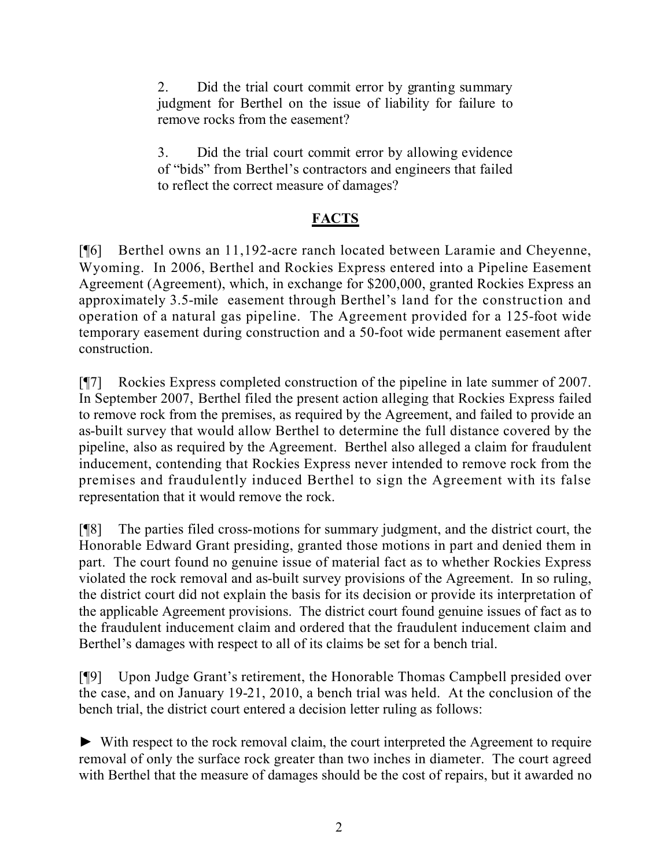2. Did the trial court commit error by granting summary judgment for Berthel on the issue of liability for failure to remove rocks from the easement?

3. Did the trial court commit error by allowing evidence of "bids" from Berthel's contractors and engineers that failed to reflect the correct measure of damages?

# **FACTS**

[¶6] Berthel owns an 11,192-acre ranch located between Laramie and Cheyenne, Wyoming. In 2006, Berthel and Rockies Express entered into a Pipeline Easement Agreement (Agreement), which, in exchange for \$200,000, granted Rockies Express an approximately 3.5-mile easement through Berthel's land for the construction and operation of a natural gas pipeline. The Agreement provided for a 125-foot wide temporary easement during construction and a 50-foot wide permanent easement after construction.

[¶7] Rockies Express completed construction of the pipeline in late summer of 2007. In September 2007, Berthel filed the present action alleging that Rockies Express failed to remove rock from the premises, as required by the Agreement, and failed to provide an as-built survey that would allow Berthel to determine the full distance covered by the pipeline, also as required by the Agreement. Berthel also alleged a claim for fraudulent inducement, contending that Rockies Express never intended to remove rock from the premises and fraudulently induced Berthel to sign the Agreement with its false representation that it would remove the rock.

[¶8] The parties filed cross-motions for summary judgment, and the district court, the Honorable Edward Grant presiding, granted those motions in part and denied them in part. The court found no genuine issue of material fact as to whether Rockies Express violated the rock removal and as-built survey provisions of the Agreement. In so ruling, the district court did not explain the basis for its decision or provide its interpretation of the applicable Agreement provisions. The district court found genuine issues of fact as to the fraudulent inducement claim and ordered that the fraudulent inducement claim and Berthel's damages with respect to all of its claims be set for a bench trial.

[¶9] Upon Judge Grant's retirement, the Honorable Thomas Campbell presided over the case, and on January 19-21, 2010, a bench trial was held. At the conclusion of the bench trial, the district court entered a decision letter ruling as follows:

► With respect to the rock removal claim, the court interpreted the Agreement to require removal of only the surface rock greater than two inches in diameter. The court agreed with Berthel that the measure of damages should be the cost of repairs, but it awarded no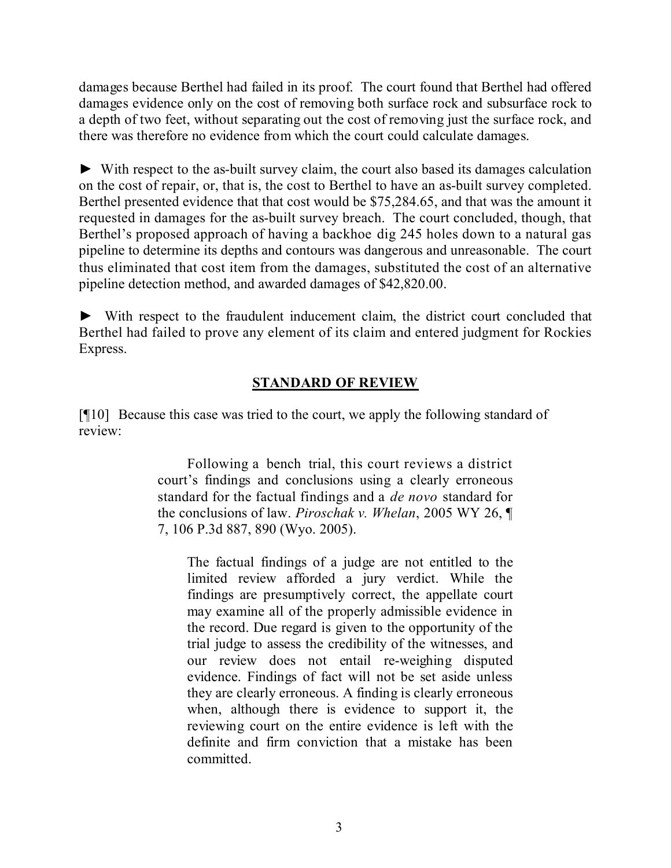damages because Berthel had failed in its proof. The court found that Berthel had offered damages evidence only on the cost of removing both surface rock and subsurface rock to a depth of two feet, without separating out the cost of removing just the surface rock, and there was therefore no evidence from which the court could calculate damages.

► With respect to the as-built survey claim, the court also based its damages calculation on the cost of repair, or, that is, the cost to Berthel to have an as-built survey completed. Berthel presented evidence that that cost would be \$75,284.65, and that was the amount it requested in damages for the as-built survey breach. The court concluded, though, that Berthel's proposed approach of having a backhoe dig 245 holes down to a natural gas pipeline to determine its depths and contours was dangerous and unreasonable. The court thus eliminated that cost item from the damages, substituted the cost of an alternative pipeline detection method, and awarded damages of \$42,820.00.

► With respect to the fraudulent inducement claim, the district court concluded that Berthel had failed to prove any element of its claim and entered judgment for Rockies Express.

### **STANDARD OF REVIEW**

[¶10] Because this case was tried to the court, we apply the following standard of review:

> Following a bench trial, this court reviews a district court's findings and conclusions using a clearly erroneous standard for the factual findings and a *de novo* standard for the conclusions of law. *Piroschak v. Whelan*, 2005 WY 26, ¶ 7, 106 P.3d 887, 890 (Wyo. 2005).

The factual findings of a judge are not entitled to the limited review afforded a jury verdict. While the findings are presumptively correct, the appellate court may examine all of the properly admissible evidence in the record. Due regard is given to the opportunity of the trial judge to assess the credibility of the witnesses, and our review does not entail re-weighing disputed evidence. Findings of fact will not be set aside unless they are clearly erroneous. A finding is clearly erroneous when, although there is evidence to support it, the reviewing court on the entire evidence is left with the definite and firm conviction that a mistake has been committed.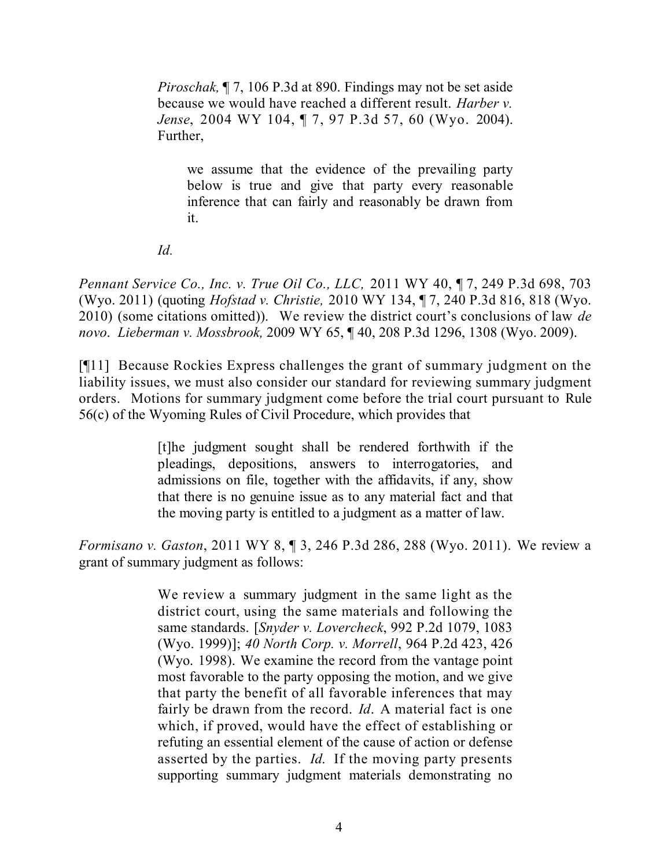*Piroschak,* ¶ 7, 106 P.3d at 890. Findings may not be set aside because we would have reached a different result. *Harber v. Jense*, 2004 WY 104, ¶ 7, 97 P.3d 57, 60 (Wyo. 2004). Further,

we assume that the evidence of the prevailing party below is true and give that party every reasonable inference that can fairly and reasonably be drawn from it.

*Id.*

*Pennant Service Co., Inc. v. True Oil Co., LLC,* 2011 WY 40, ¶ 7, 249 P.3d 698, 703 (Wyo. 2011) (quoting *Hofstad v. Christie,* 2010 WY 134, ¶ 7, 240 P.3d 816, 818 (Wyo. 2010) (some citations omitted)). We review the district court's conclusions of law *de novo*. *Lieberman v. Mossbrook,* 2009 WY 65, ¶ 40, 208 P.3d 1296, 1308 (Wyo. 2009).

[¶11] Because Rockies Express challenges the grant of summary judgment on the liability issues, we must also consider our standard for reviewing summary judgment orders. Motions for summary judgment come before the trial court pursuant to Rule 56(c) of the Wyoming Rules of Civil Procedure, which provides that

> [t]he judgment sought shall be rendered forthwith if the pleadings, depositions, answers to interrogatories, and admissions on file, together with the affidavits, if any, show that there is no genuine issue as to any material fact and that the moving party is entitled to a judgment as a matter of law.

*Formisano v. Gaston*, 2011 WY 8, ¶ 3, 246 P.3d 286, 288 (Wyo. 2011). We review a grant of summary judgment as follows:

> We review a summary judgment in the same light as the district court, using the same materials and following the same standards. [*Snyder v. Lovercheck*, 992 P.2d 1079, 1083 (Wyo. 1999)]; *40 North Corp. v. Morrell*, 964 P.2d 423, 426 (Wyo. 1998). We examine the record from the vantage point most favorable to the party opposing the motion, and we give that party the benefit of all favorable inferences that may fairly be drawn from the record. *Id*. A material fact is one which, if proved, would have the effect of establishing or refuting an essential element of the cause of action or defense asserted by the parties. *Id*. If the moving party presents supporting summary judgment materials demonstrating no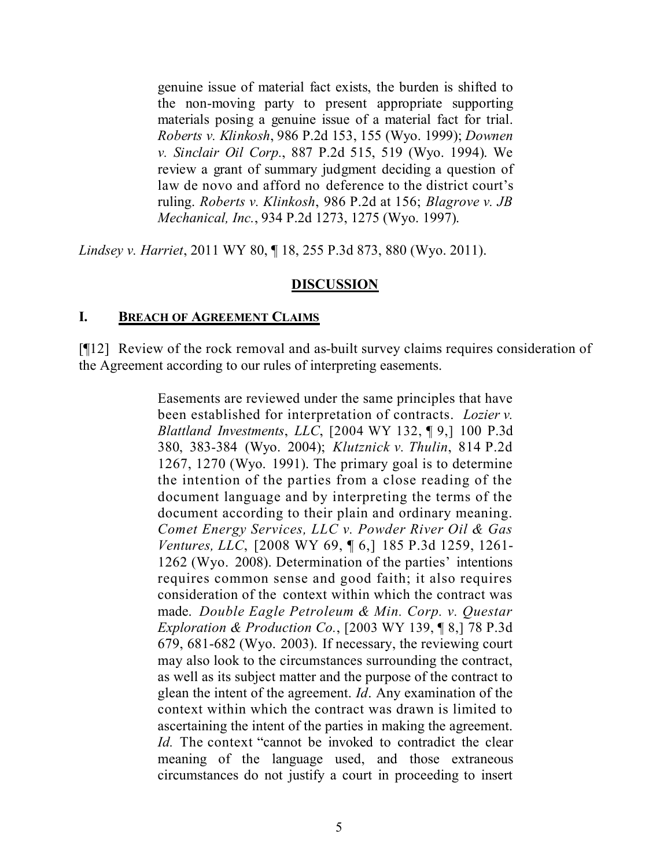genuine issue of material fact exists, the burden is shifted to the non-moving party to present appropriate supporting materials posing a genuine issue of a material fact for trial. *Roberts v. Klinkosh*, 986 P.2d 153, 155 (Wyo. 1999); *Downen v. Sinclair Oil Corp.*, 887 P.2d 515, 519 (Wyo. 1994). We review a grant of summary judgment deciding a question of law de novo and afford no deference to the district court's ruling. *Roberts v. Klinkosh*, 986 P.2d at 156; *Blagrove v. JB Mechanical, Inc.*, 934 P.2d 1273, 1275 (Wyo. 1997).

*Lindsey v. Harriet*, 2011 WY 80, ¶ 18, 255 P.3d 873, 880 (Wyo. 2011).

#### **DISCUSSION**

#### **I. BREACH OF AGREEMENT CLAIMS**

[¶12] Review of the rock removal and as-built survey claims requires consideration of the Agreement according to our rules of interpreting easements.

> Easements are reviewed under the same principles that have been established for interpretation of contracts. *Lozier v. Blattland Investments*, *LLC*, [2004 WY 132, ¶ 9,] 100 P.3d 380, 383-384 (Wyo. 2004); *Klutznick v. Thulin*, 814 P.2d 1267, 1270 (Wyo. 1991). The primary goal is to determine the intention of the parties from a close reading of the document language and by interpreting the terms of the document according to their plain and ordinary meaning. *Comet Energy Services, LLC v. Powder River Oil & Gas Ventures, LLC*, [2008 WY 69, ¶ 6,] 185 P.3d 1259, 1261- 1262 (Wyo. 2008). Determination of the parties' intentions requires common sense and good faith; it also requires consideration of the context within which the contract was made. *Double Eagle Petroleum & Min. Corp. v. Questar Exploration & Production Co.*, [2003 WY 139, ¶ 8,] 78 P.3d 679, 681-682 (Wyo. 2003). If necessary, the reviewing court may also look to the circumstances surrounding the contract, as well as its subject matter and the purpose of the contract to glean the intent of the agreement. *Id*. Any examination of the context within which the contract was drawn is limited to ascertaining the intent of the parties in making the agreement. *Id.* The context "cannot be invoked to contradict the clear meaning of the language used, and those extraneous circumstances do not justify a court in proceeding to insert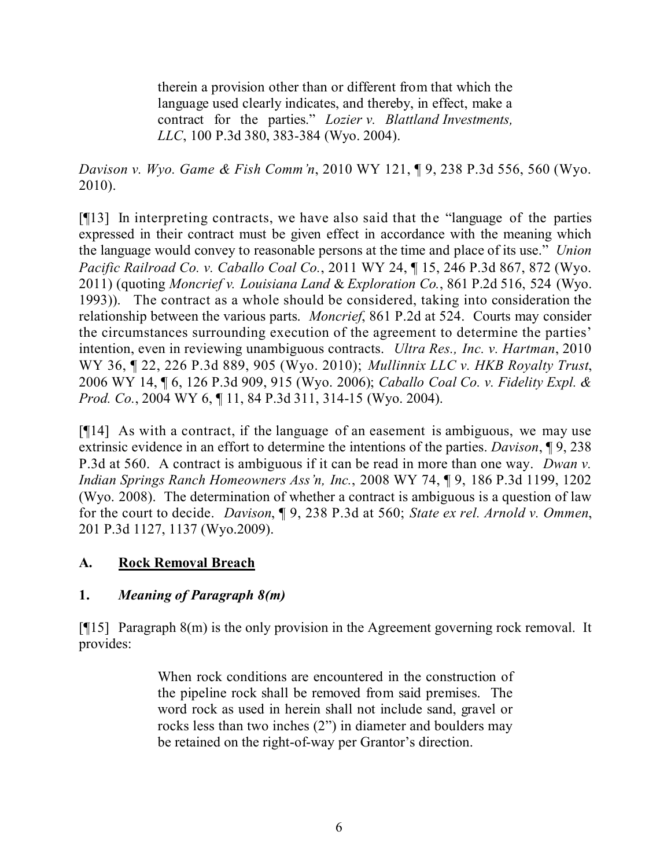therein a provision other than or different from that which the language used clearly indicates, and thereby, in effect, make a contract for the parties." *Lozier v. Blattland Investments, LLC*, 100 P.3d 380, 383-384 (Wyo. 2004).

*Davison v. Wyo. Game & Fish Comm'n*, 2010 WY 121, ¶ 9, 238 P.3d 556, 560 (Wyo. 2010).

[¶13] In interpreting contracts, we have also said that the "language of the parties expressed in their contract must be given effect in accordance with the meaning which the language would convey to reasonable persons at the time and place of its use." *Union Pacific Railroad Co. v. Caballo Coal Co.*, 2011 WY 24, ¶ 15, 246 P.3d 867, 872 (Wyo. 2011) (quoting *Moncrief v. Louisiana Land* & *Exploration Co.*, 861 P.2d 516, 524 (Wyo. 1993)). The contract as a whole should be considered, taking into consideration the relationship between the various parts. *Moncrief*, 861 P.2d at 524. Courts may consider the circumstances surrounding execution of the agreement to determine the parties' intention, even in reviewing unambiguous contracts. *Ultra Res., Inc. v. Hartman*, 2010 WY 36, ¶ 22, 226 P.3d 889, 905 (Wyo. 2010); *Mullinnix LLC v. HKB Royalty Trust*, 2006 WY 14, ¶ 6, 126 P.3d 909, 915 (Wyo. 2006); *Caballo Coal Co. v. Fidelity Expl. & Prod. Co.*, 2004 WY 6, ¶ 11, 84 P.3d 311, 314-15 (Wyo. 2004).

[¶14] As with a contract, if the language of an easement is ambiguous, we may use extrinsic evidence in an effort to determine the intentions of the parties. *Davison*, ¶ 9, 238 P.3d at 560. A contract is ambiguous if it can be read in more than one way. *Dwan v. Indian Springs Ranch Homeowners Ass'n, Inc.*, 2008 WY 74, ¶ 9, 186 P.3d 1199, 1202 (Wyo. 2008). The determination of whether a contract is ambiguous is a question of law for the court to decide. *Davison*, ¶ 9, 238 P.3d at 560; *State ex rel. Arnold v. Ommen*, 201 P.3d 1127, 1137 (Wyo.2009).

## **A. Rock Removal Breach**

## **1.** *Meaning of Paragraph 8(m)*

[¶15] Paragraph 8(m) is the only provision in the Agreement governing rock removal. It provides:

> When rock conditions are encountered in the construction of the pipeline rock shall be removed from said premises. The word rock as used in herein shall not include sand, gravel or rocks less than two inches (2") in diameter and boulders may be retained on the right-of-way per Grantor's direction.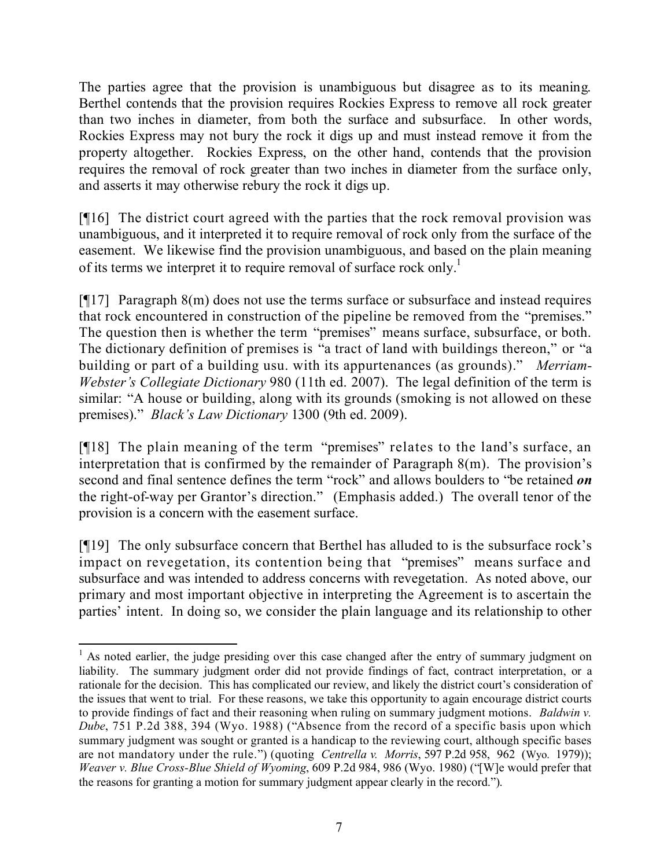The parties agree that the provision is unambiguous but disagree as to its meaning. Berthel contends that the provision requires Rockies Express to remove all rock greater than two inches in diameter, from both the surface and subsurface. In other words, Rockies Express may not bury the rock it digs up and must instead remove it from the property altogether. Rockies Express, on the other hand, contends that the provision requires the removal of rock greater than two inches in diameter from the surface only, and asserts it may otherwise rebury the rock it digs up.

[¶16] The district court agreed with the parties that the rock removal provision was unambiguous, and it interpreted it to require removal of rock only from the surface of the easement. We likewise find the provision unambiguous, and based on the plain meaning of its terms we interpret it to require removal of surface rock only.<sup>1</sup>

[¶17] Paragraph 8(m) does not use the terms surface or subsurface and instead requires that rock encountered in construction of the pipeline be removed from the "premises." The question then is whether the term "premises" means surface, subsurface, or both. The dictionary definition of premises is "a tract of land with buildings thereon," or "a building or part of a building usu. with its appurtenances (as grounds)." *Merriam-Webster's Collegiate Dictionary* 980 (11th ed. 2007). The legal definition of the term is similar: "A house or building, along with its grounds (smoking is not allowed on these premises)." *Black's Law Dictionary* 1300 (9th ed. 2009).

[¶18] The plain meaning of the term "premises" relates to the land's surface, an interpretation that is confirmed by the remainder of Paragraph 8(m). The provision's second and final sentence defines the term "rock" and allows boulders to "be retained *on* the right-of-way per Grantor's direction." (Emphasis added.) The overall tenor of the provision is a concern with the easement surface.

[¶19] The only subsurface concern that Berthel has alluded to is the subsurface rock's impact on revegetation, its contention being that "premises" means surface and subsurface and was intended to address concerns with revegetation. As noted above, our primary and most important objective in interpreting the Agreement is to ascertain the parties' intent. In doing so, we consider the plain language and its relationship to other

 $\overline{a}$  $<sup>1</sup>$  As noted earlier, the judge presiding over this case changed after the entry of summary judgment on</sup> liability. The summary judgment order did not provide findings of fact, contract interpretation, or a rationale for the decision. This has complicated our review, and likely the district court's consideration of the issues that went to trial. For these reasons, we take this opportunity to again encourage district courts to provide findings of fact and their reasoning when ruling on summary judgment motions. *Baldwin v. Dube*, 751 P.2d 388, 394 (Wyo. 1988) ("Absence from the record of a specific basis upon which summary judgment was sought or granted is a handicap to the reviewing court, although specific bases are not mandatory under the rule.") (quoting *Centrella v. Morris*, 597 P.2d 958, 962 (Wyo. 1979)); *Weaver v. Blue Cross-Blue Shield of Wyoming*, 609 P.2d 984, 986 (Wyo. 1980) ("[W]e would prefer that the reasons for granting a motion for summary judgment appear clearly in the record.").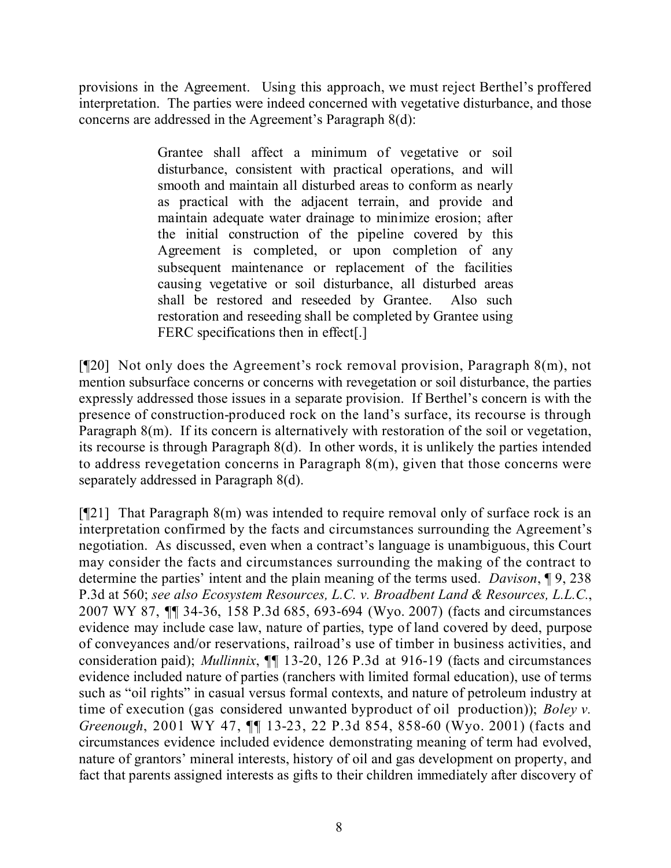provisions in the Agreement. Using this approach, we must reject Berthel's proffered interpretation. The parties were indeed concerned with vegetative disturbance, and those concerns are addressed in the Agreement's Paragraph 8(d):

> Grantee shall affect a minimum of vegetative or soil disturbance, consistent with practical operations, and will smooth and maintain all disturbed areas to conform as nearly as practical with the adjacent terrain, and provide and maintain adequate water drainage to minimize erosion; after the initial construction of the pipeline covered by this Agreement is completed, or upon completion of any subsequent maintenance or replacement of the facilities causing vegetative or soil disturbance, all disturbed areas shall be restored and reseeded by Grantee. Also such restoration and reseeding shall be completed by Grantee using FERC specifications then in effect[.]

[¶20] Not only does the Agreement's rock removal provision, Paragraph 8(m), not mention subsurface concerns or concerns with revegetation or soil disturbance, the parties expressly addressed those issues in a separate provision. If Berthel's concern is with the presence of construction-produced rock on the land's surface, its recourse is through Paragraph 8(m). If its concern is alternatively with restoration of the soil or vegetation, its recourse is through Paragraph 8(d). In other words, it is unlikely the parties intended to address revegetation concerns in Paragraph 8(m), given that those concerns were separately addressed in Paragraph 8(d).

[¶21] That Paragraph 8(m) was intended to require removal only of surface rock is an interpretation confirmed by the facts and circumstances surrounding the Agreement's negotiation. As discussed, even when a contract's language is unambiguous, this Court may consider the facts and circumstances surrounding the making of the contract to determine the parties' intent and the plain meaning of the terms used. *Davison*, ¶ 9, 238 P.3d at 560; *see also Ecosystem Resources, L.C. v. Broadbent Land & Resources, L.L.C.*, 2007 WY 87, ¶¶ 34-36, 158 P.3d 685, 693-694 (Wyo. 2007) (facts and circumstances evidence may include case law, nature of parties, type of land covered by deed, purpose of conveyances and/or reservations, railroad's use of timber in business activities, and consideration paid); *Mullinnix*, ¶¶ 13-20, 126 P.3d at 916-19 (facts and circumstances evidence included nature of parties (ranchers with limited formal education), use of terms such as "oil rights" in casual versus formal contexts, and nature of petroleum industry at time of execution (gas considered unwanted byproduct of oil production)); *Boley v. Greenough*, 2001 WY 47, ¶¶ 13-23, 22 P.3d 854, 858-60 (Wyo. 2001) (facts and circumstances evidence included evidence demonstrating meaning of term had evolved, nature of grantors' mineral interests, history of oil and gas development on property, and fact that parents assigned interests as gifts to their children immediately after discovery of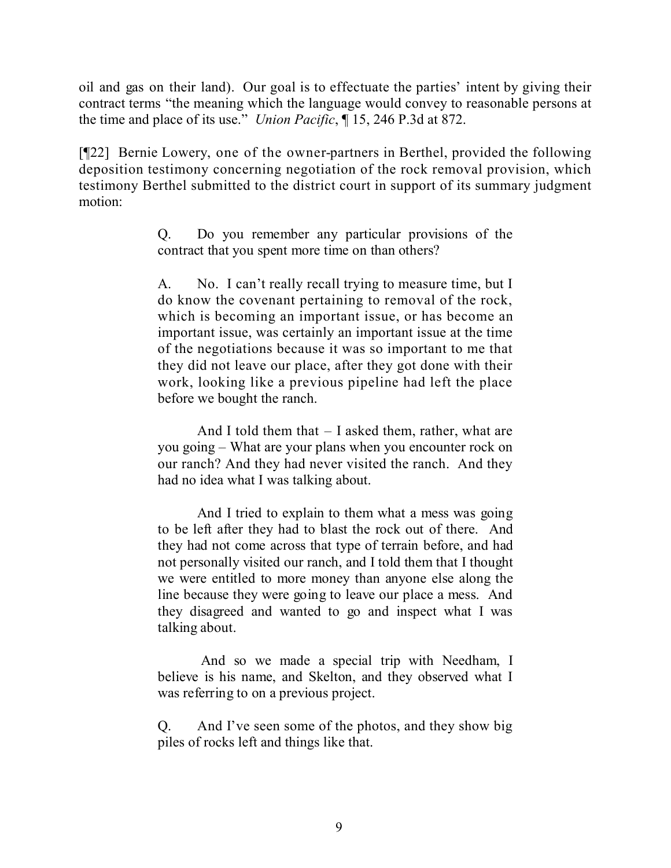oil and gas on their land). Our goal is to effectuate the parties' intent by giving their contract terms "the meaning which the language would convey to reasonable persons at the time and place of its use." *Union Pacific*, ¶ 15, 246 P.3d at 872.

[¶22] Bernie Lowery, one of the owner-partners in Berthel, provided the following deposition testimony concerning negotiation of the rock removal provision, which testimony Berthel submitted to the district court in support of its summary judgment motion:

> Q. Do you remember any particular provisions of the contract that you spent more time on than others?

> A. No. I can't really recall trying to measure time, but I do know the covenant pertaining to removal of the rock, which is becoming an important issue, or has become an important issue, was certainly an important issue at the time of the negotiations because it was so important to me that they did not leave our place, after they got done with their work, looking like a previous pipeline had left the place before we bought the ranch.

> And I told them that – I asked them, rather, what are you going – What are your plans when you encounter rock on our ranch? And they had never visited the ranch. And they had no idea what I was talking about.

> And I tried to explain to them what a mess was going to be left after they had to blast the rock out of there. And they had not come across that type of terrain before, and had not personally visited our ranch, and I told them that I thought we were entitled to more money than anyone else along the line because they were going to leave our place a mess. And they disagreed and wanted to go and inspect what I was talking about.

> And so we made a special trip with Needham, I believe is his name, and Skelton, and they observed what I was referring to on a previous project.

> Q. And I've seen some of the photos, and they show big piles of rocks left and things like that.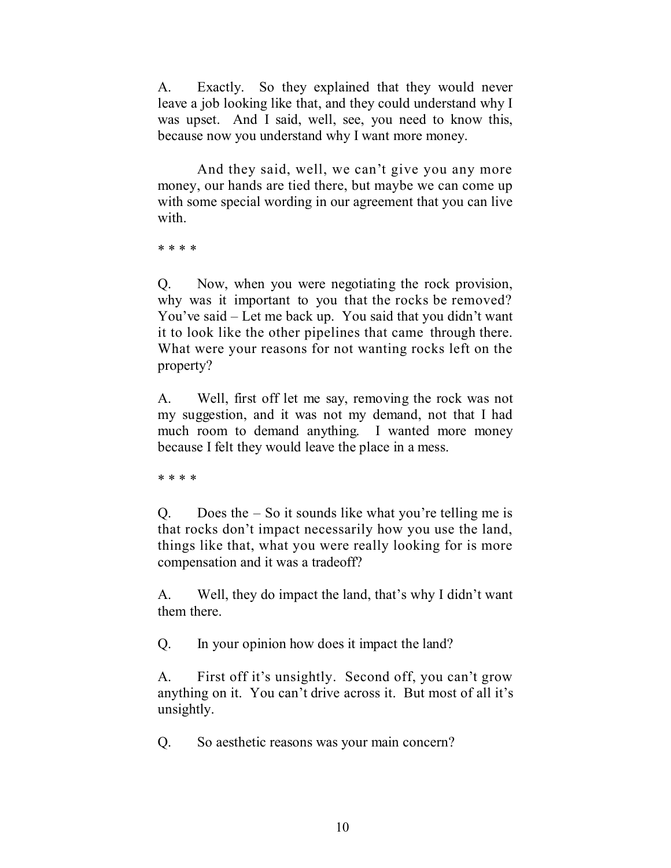A. Exactly. So they explained that they would never leave a job looking like that, and they could understand why I was upset. And I said, well, see, you need to know this, because now you understand why I want more money.

And they said, well, we can't give you any more money, our hands are tied there, but maybe we can come up with some special wording in our agreement that you can live with.

\* \* \* \*

Q. Now, when you were negotiating the rock provision, why was it important to you that the rocks be removed? You've said – Let me back up. You said that you didn't want it to look like the other pipelines that came through there. What were your reasons for not wanting rocks left on the property?

A. Well, first off let me say, removing the rock was not my suggestion, and it was not my demand, not that I had much room to demand anything. I wanted more money because I felt they would leave the place in a mess.

\* \* \* \*

Q. Does the  $-$  So it sounds like what you're telling me is that rocks don't impact necessarily how you use the land, things like that, what you were really looking for is more compensation and it was a tradeoff?

A. Well, they do impact the land, that's why I didn't want them there.

Q. In your opinion how does it impact the land?

A. First off it's unsightly. Second off, you can't grow anything on it. You can't drive across it. But most of all it's unsightly.

Q. So aesthetic reasons was your main concern?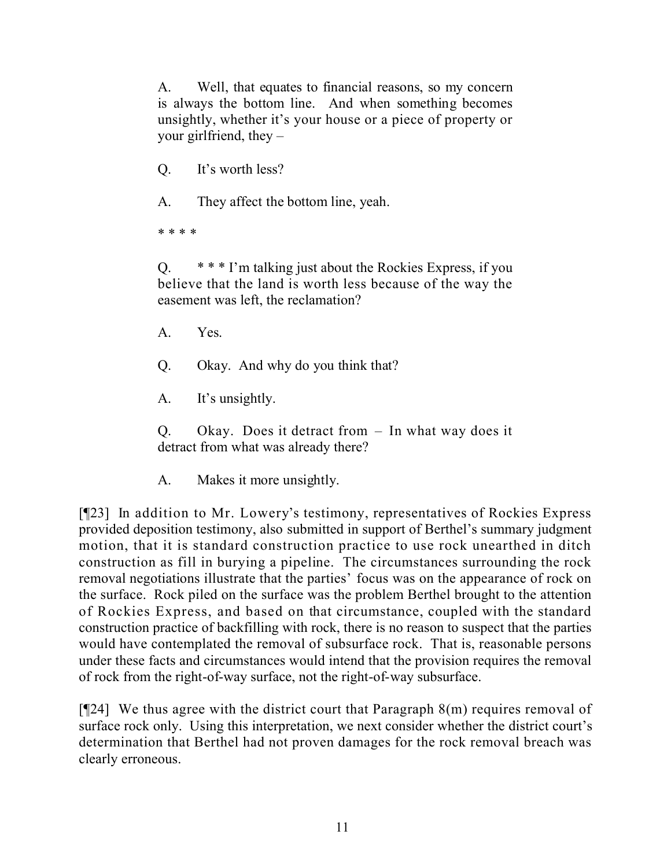A. Well, that equates to financial reasons, so my concern is always the bottom line. And when something becomes unsightly, whether it's your house or a piece of property or your girlfriend, they  $-$ 

Q. It's worth less?

A. They affect the bottom line, yeah.

\* \* \* \*

Q. \* \* \* I'm talking just about the Rockies Express, if you believe that the land is worth less because of the way the easement was left, the reclamation?

- A. Yes.
- Q. Okay. And why do you think that?
- A. It's unsightly.

Q. Okay. Does it detract from – In what way does it detract from what was already there?

A. Makes it more unsightly.

[¶23] In addition to Mr. Lowery's testimony, representatives of Rockies Express provided deposition testimony, also submitted in support of Berthel's summary judgment motion, that it is standard construction practice to use rock unearthed in ditch construction as fill in burying a pipeline. The circumstances surrounding the rock removal negotiations illustrate that the parties' focus was on the appearance of rock on the surface. Rock piled on the surface was the problem Berthel brought to the attention of Rockies Express, and based on that circumstance, coupled with the standard construction practice of backfilling with rock, there is no reason to suspect that the parties would have contemplated the removal of subsurface rock. That is, reasonable persons under these facts and circumstances would intend that the provision requires the removal of rock from the right-of-way surface, not the right-of-way subsurface.

[¶24] We thus agree with the district court that Paragraph 8(m) requires removal of surface rock only. Using this interpretation, we next consider whether the district court's determination that Berthel had not proven damages for the rock removal breach was clearly erroneous.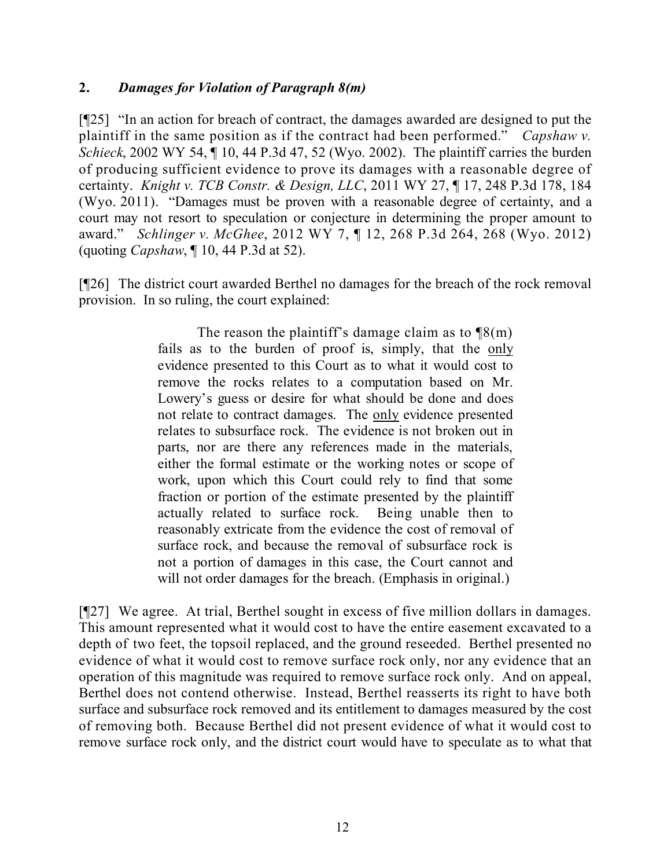#### **2.** *Damages for Violation of Paragraph 8(m)*

[¶25] "In an action for breach of contract, the damages awarded are designed to put the plaintiff in the same position as if the contract had been performed." *Capshaw v. Schieck*, 2002 WY 54, ¶ 10, 44 P.3d 47, 52 (Wyo. 2002). The plaintiff carries the burden of producing sufficient evidence to prove its damages with a reasonable degree of certainty. *Knight v. TCB Constr. & Design, LLC*, 2011 WY 27, ¶ 17, 248 P.3d 178, 184 (Wyo. 2011). "Damages must be proven with a reasonable degree of certainty, and a court may not resort to speculation or conjecture in determining the proper amount to award." *Schlinger v. McGhee*, 2012 WY 7, ¶ 12, 268 P.3d 264, 268 (Wyo. 2012) (quoting *Capshaw*, ¶ 10, 44 P.3d at 52).

[¶26] The district court awarded Berthel no damages for the breach of the rock removal provision. In so ruling, the court explained:

> The reason the plaintiff's damage claim as to  $\mathcal{B}(m)$ fails as to the burden of proof is, simply, that the only evidence presented to this Court as to what it would cost to remove the rocks relates to a computation based on Mr. Lowery's guess or desire for what should be done and does not relate to contract damages. The only evidence presented relates to subsurface rock. The evidence is not broken out in parts, nor are there any references made in the materials, either the formal estimate or the working notes or scope of work, upon which this Court could rely to find that some fraction or portion of the estimate presented by the plaintiff actually related to surface rock. Being unable then to reasonably extricate from the evidence the cost of removal of surface rock, and because the removal of subsurface rock is not a portion of damages in this case, the Court cannot and will not order damages for the breach. (Emphasis in original.)

[¶27] We agree. At trial, Berthel sought in excess of five million dollars in damages. This amount represented what it would cost to have the entire easement excavated to a depth of two feet, the topsoil replaced, and the ground reseeded. Berthel presented no evidence of what it would cost to remove surface rock only, nor any evidence that an operation of this magnitude was required to remove surface rock only. And on appeal, Berthel does not contend otherwise. Instead, Berthel reasserts its right to have both surface and subsurface rock removed and its entitlement to damages measured by the cost of removing both. Because Berthel did not present evidence of what it would cost to remove surface rock only, and the district court would have to speculate as to what that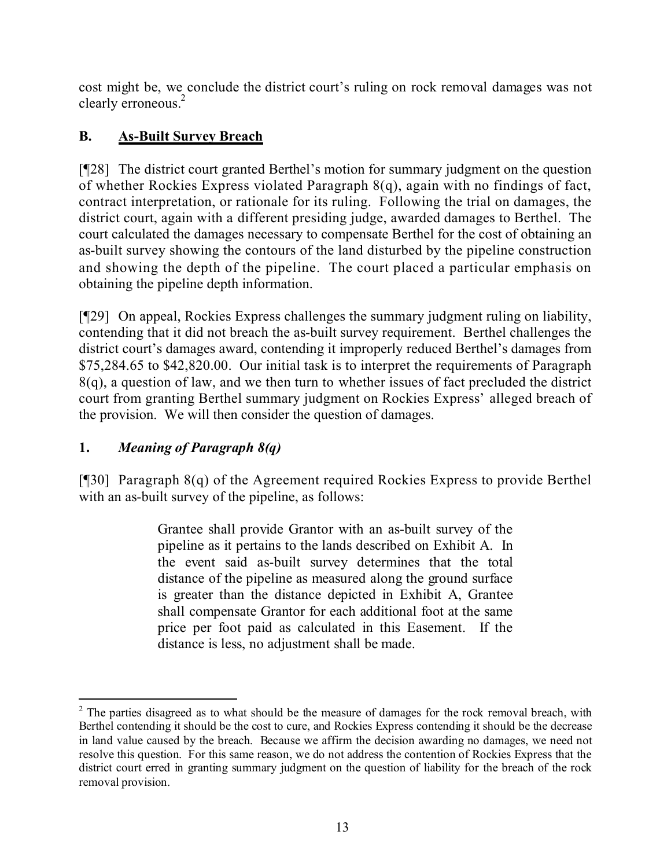cost might be, we conclude the district court's ruling on rock removal damages was not clearly erroneous.<sup>2</sup>

# **B. As-Built Survey Breach**

[¶28] The district court granted Berthel's motion for summary judgment on the question of whether Rockies Express violated Paragraph 8(q), again with no findings of fact, contract interpretation, or rationale for its ruling. Following the trial on damages, the district court, again with a different presiding judge, awarded damages to Berthel. The court calculated the damages necessary to compensate Berthel for the cost of obtaining an as-built survey showing the contours of the land disturbed by the pipeline construction and showing the depth of the pipeline. The court placed a particular emphasis on obtaining the pipeline depth information.

[¶29] On appeal, Rockies Express challenges the summary judgment ruling on liability, contending that it did not breach the as-built survey requirement. Berthel challenges the district court's damages award, contending it improperly reduced Berthel's damages from \$75,284.65 to \$42,820.00. Our initial task is to interpret the requirements of Paragraph 8(q), a question of law, and we then turn to whether issues of fact precluded the district court from granting Berthel summary judgment on Rockies Express' alleged breach of the provision. We will then consider the question of damages.

# **1.** *Meaning of Paragraph 8(q)*

[¶30] Paragraph 8(q) of the Agreement required Rockies Express to provide Berthel with an as-built survey of the pipeline, as follows:

> Grantee shall provide Grantor with an as-built survey of the pipeline as it pertains to the lands described on Exhibit A. In the event said as-built survey determines that the total distance of the pipeline as measured along the ground surface is greater than the distance depicted in Exhibit A, Grantee shall compensate Grantor for each additional foot at the same price per foot paid as calculated in this Easement. If the distance is less, no adjustment shall be made.

  $2<sup>2</sup>$  The parties disagreed as to what should be the measure of damages for the rock removal breach, with Berthel contending it should be the cost to cure, and Rockies Express contending it should be the decrease in land value caused by the breach. Because we affirm the decision awarding no damages, we need not resolve this question. For this same reason, we do not address the contention of Rockies Express that the district court erred in granting summary judgment on the question of liability for the breach of the rock removal provision.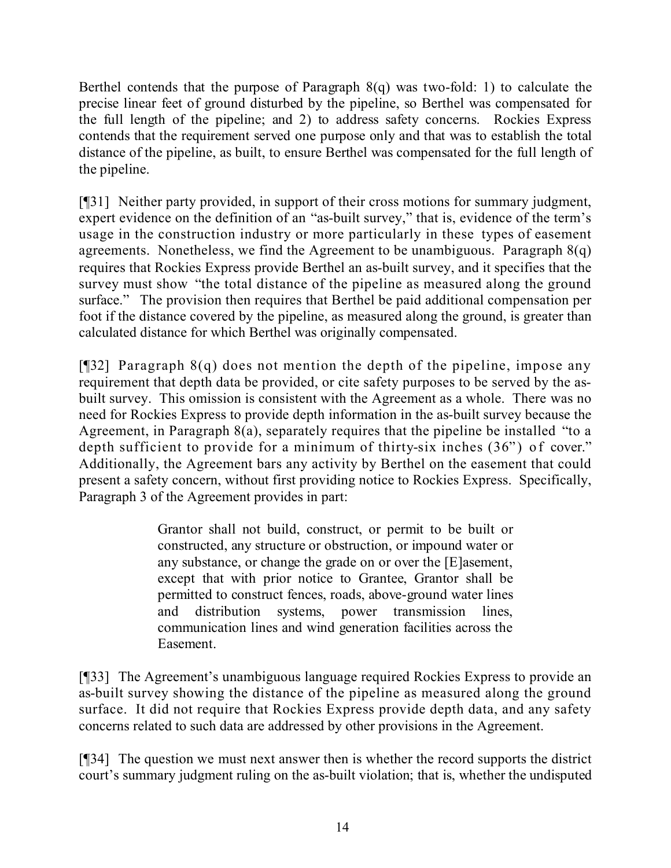Berthel contends that the purpose of Paragraph 8(q) was two-fold: 1) to calculate the precise linear feet of ground disturbed by the pipeline, so Berthel was compensated for the full length of the pipeline; and 2) to address safety concerns. Rockies Express contends that the requirement served one purpose only and that was to establish the total distance of the pipeline, as built, to ensure Berthel was compensated for the full length of the pipeline.

[¶31] Neither party provided, in support of their cross motions for summary judgment, expert evidence on the definition of an "as-built survey," that is, evidence of the term's usage in the construction industry or more particularly in these types of easement agreements. Nonetheless, we find the Agreement to be unambiguous. Paragraph  $8(q)$ requires that Rockies Express provide Berthel an as-built survey, and it specifies that the survey must show "the total distance of the pipeline as measured along the ground surface." The provision then requires that Berthel be paid additional compensation per foot if the distance covered by the pipeline, as measured along the ground, is greater than calculated distance for which Berthel was originally compensated.

[¶32] Paragraph 8(q) does not mention the depth of the pipeline, impose any requirement that depth data be provided, or cite safety purposes to be served by the asbuilt survey. This omission is consistent with the Agreement as a whole. There was no need for Rockies Express to provide depth information in the as-built survey because the Agreement, in Paragraph 8(a), separately requires that the pipeline be installed "to a depth sufficient to provide for a minimum of thirty-six inches (36") of cover." Additionally, the Agreement bars any activity by Berthel on the easement that could present a safety concern, without first providing notice to Rockies Express. Specifically, Paragraph 3 of the Agreement provides in part:

> Grantor shall not build, construct, or permit to be built or constructed, any structure or obstruction, or impound water or any substance, or change the grade on or over the [E]asement, except that with prior notice to Grantee, Grantor shall be permitted to construct fences, roads, above-ground water lines and distribution systems, power transmission lines, communication lines and wind generation facilities across the Easement.

[¶33] The Agreement's unambiguous language required Rockies Express to provide an as-built survey showing the distance of the pipeline as measured along the ground surface. It did not require that Rockies Express provide depth data, and any safety concerns related to such data are addressed by other provisions in the Agreement.

[¶34] The question we must next answer then is whether the record supports the district court's summary judgment ruling on the as-built violation; that is, whether the undisputed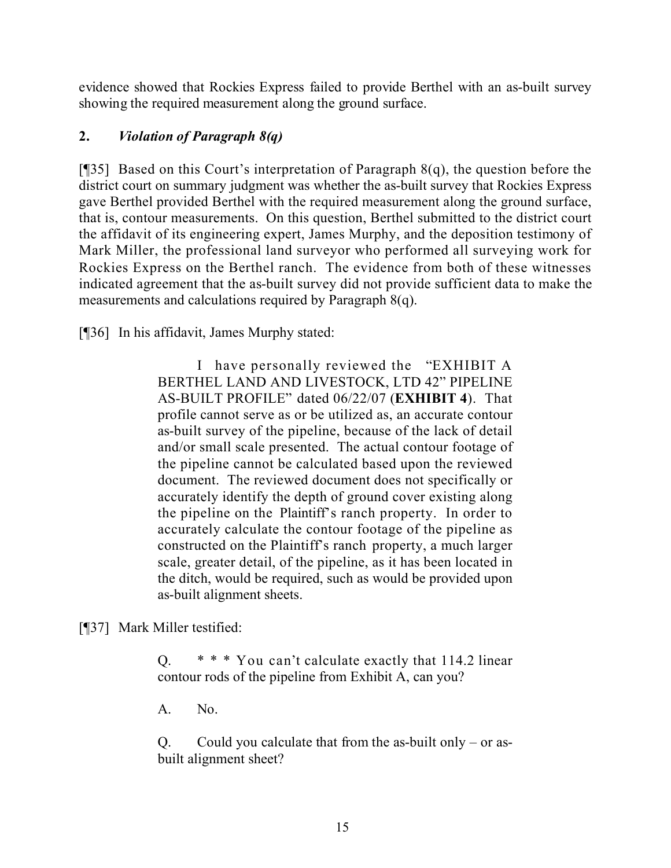evidence showed that Rockies Express failed to provide Berthel with an as-built survey showing the required measurement along the ground surface.

## **2.** *Violation of Paragraph 8(q)*

[¶35] Based on this Court's interpretation of Paragraph 8(q), the question before the district court on summary judgment was whether the as-built survey that Rockies Express gave Berthel provided Berthel with the required measurement along the ground surface, that is, contour measurements. On this question, Berthel submitted to the district court the affidavit of its engineering expert, James Murphy, and the deposition testimony of Mark Miller, the professional land surveyor who performed all surveying work for Rockies Express on the Berthel ranch. The evidence from both of these witnesses indicated agreement that the as-built survey did not provide sufficient data to make the measurements and calculations required by Paragraph 8(q).

[¶36] In his affidavit, James Murphy stated:

I have personally reviewed the "EXHIBIT A BERTHEL LAND AND LIVESTOCK, LTD 42" PIPELINE AS-BUILT PROFILE" dated 06/22/07 (**EXHIBIT 4**). That profile cannot serve as or be utilized as, an accurate contour as-built survey of the pipeline, because of the lack of detail and/or small scale presented. The actual contour footage of the pipeline cannot be calculated based upon the reviewed document. The reviewed document does not specifically or accurately identify the depth of ground cover existing along the pipeline on the Plaintiff's ranch property. In order to accurately calculate the contour footage of the pipeline as constructed on the Plaintiff's ranch property, a much larger scale, greater detail, of the pipeline, as it has been located in the ditch, would be required, such as would be provided upon as-built alignment sheets.

[¶37] Mark Miller testified:

Q. \* \* \* You can't calculate exactly that 114.2 linear contour rods of the pipeline from Exhibit A, can you?

A. No.

Q. Could you calculate that from the as-built only – or asbuilt alignment sheet?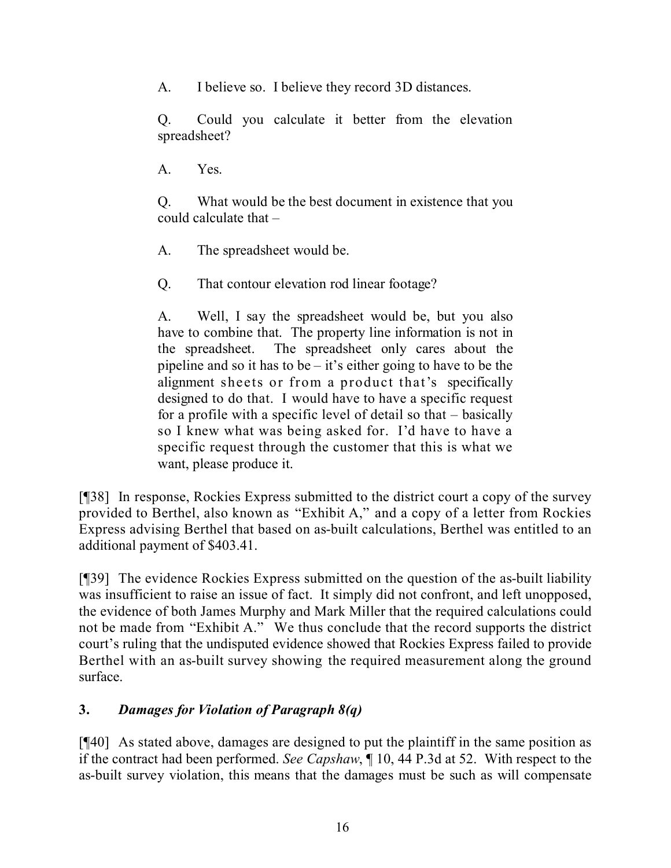A. I believe so. I believe they record 3D distances.

Q. Could you calculate it better from the elevation spreadsheet?

A. Yes.

Q. What would be the best document in existence that you could calculate that –

A. The spreadsheet would be.

Q. That contour elevation rod linear footage?

A. Well, I say the spreadsheet would be, but you also have to combine that. The property line information is not in the spreadsheet. The spreadsheet only cares about the pipeline and so it has to be – it's either going to have to be the alignment sheets or from a product that's specifically designed to do that. I would have to have a specific request for a profile with a specific level of detail so that – basically so I knew what was being asked for. I'd have to have a specific request through the customer that this is what we want, please produce it.

[¶38] In response, Rockies Express submitted to the district court a copy of the survey provided to Berthel, also known as "Exhibit A," and a copy of a letter from Rockies Express advising Berthel that based on as-built calculations, Berthel was entitled to an additional payment of \$403.41.

[¶39] The evidence Rockies Express submitted on the question of the as-built liability was insufficient to raise an issue of fact. It simply did not confront, and left unopposed, the evidence of both James Murphy and Mark Miller that the required calculations could not be made from "Exhibit A." We thus conclude that the record supports the district court's ruling that the undisputed evidence showed that Rockies Express failed to provide Berthel with an as-built survey showing the required measurement along the ground surface.

## **3.** *Damages for Violation of Paragraph 8(q)*

[¶40] As stated above, damages are designed to put the plaintiff in the same position as if the contract had been performed. *See Capshaw*, ¶ 10, 44 P.3d at 52. With respect to the as-built survey violation, this means that the damages must be such as will compensate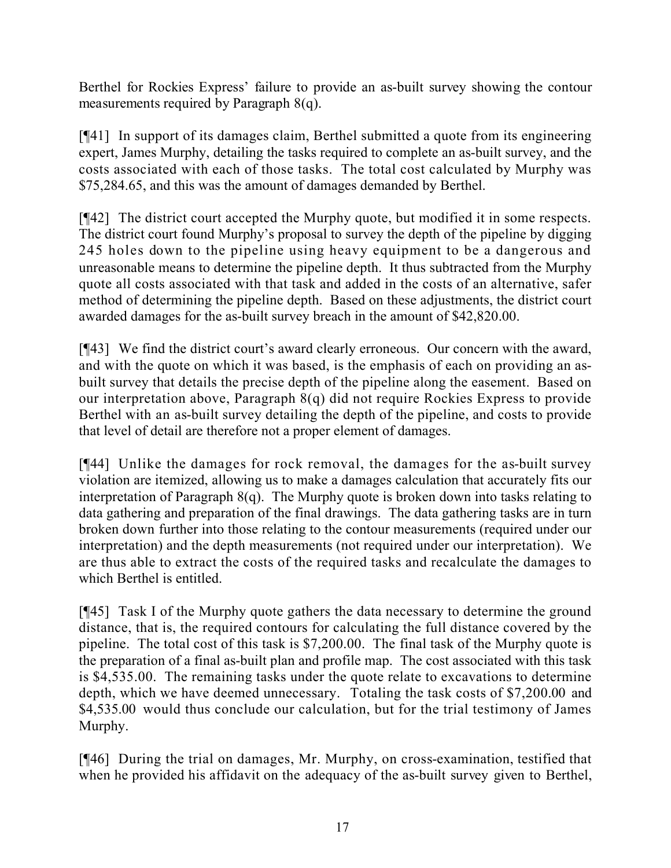Berthel for Rockies Express' failure to provide an as-built survey showing the contour measurements required by Paragraph 8(q).

[¶41] In support of its damages claim, Berthel submitted a quote from its engineering expert, James Murphy, detailing the tasks required to complete an as-built survey, and the costs associated with each of those tasks. The total cost calculated by Murphy was \$75,284.65, and this was the amount of damages demanded by Berthel.

[¶42] The district court accepted the Murphy quote, but modified it in some respects. The district court found Murphy's proposal to survey the depth of the pipeline by digging 245 holes down to the pipeline using heavy equipment to be a dangerous and unreasonable means to determine the pipeline depth. It thus subtracted from the Murphy quote all costs associated with that task and added in the costs of an alternative, safer method of determining the pipeline depth. Based on these adjustments, the district court awarded damages for the as-built survey breach in the amount of \$42,820.00.

[¶43] We find the district court's award clearly erroneous. Our concern with the award, and with the quote on which it was based, is the emphasis of each on providing an asbuilt survey that details the precise depth of the pipeline along the easement. Based on our interpretation above, Paragraph 8(q) did not require Rockies Express to provide Berthel with an as-built survey detailing the depth of the pipeline, and costs to provide that level of detail are therefore not a proper element of damages.

[¶44] Unlike the damages for rock removal, the damages for the as-built survey violation are itemized, allowing us to make a damages calculation that accurately fits our interpretation of Paragraph 8(q). The Murphy quote is broken down into tasks relating to data gathering and preparation of the final drawings. The data gathering tasks are in turn broken down further into those relating to the contour measurements (required under our interpretation) and the depth measurements (not required under our interpretation). We are thus able to extract the costs of the required tasks and recalculate the damages to which Berthel is entitled.

[¶45] Task I of the Murphy quote gathers the data necessary to determine the ground distance, that is, the required contours for calculating the full distance covered by the pipeline. The total cost of this task is \$7,200.00. The final task of the Murphy quote is the preparation of a final as-built plan and profile map. The cost associated with this task is \$4,535.00. The remaining tasks under the quote relate to excavations to determine depth, which we have deemed unnecessary. Totaling the task costs of \$7,200.00 and \$4,535.00 would thus conclude our calculation, but for the trial testimony of James Murphy.

[¶46] During the trial on damages, Mr. Murphy, on cross-examination, testified that when he provided his affidavit on the adequacy of the as-built survey given to Berthel,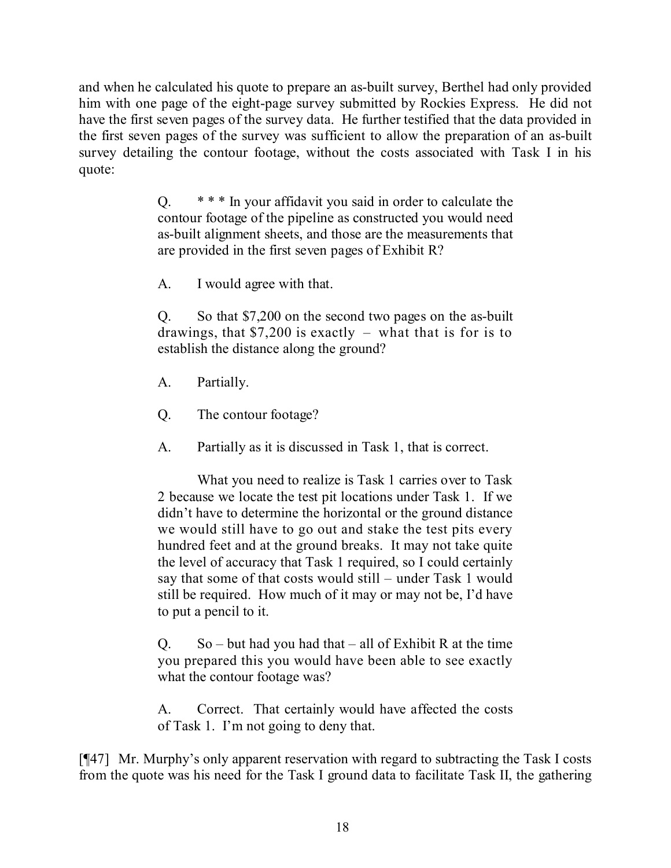and when he calculated his quote to prepare an as-built survey, Berthel had only provided him with one page of the eight-page survey submitted by Rockies Express. He did not have the first seven pages of the survey data. He further testified that the data provided in the first seven pages of the survey was sufficient to allow the preparation of an as-built survey detailing the contour footage, without the costs associated with Task I in his quote:

> Q. \* \* \* In your affidavit you said in order to calculate the contour footage of the pipeline as constructed you would need as-built alignment sheets, and those are the measurements that are provided in the first seven pages of Exhibit R?

A. I would agree with that.

Q. So that \$7,200 on the second two pages on the as-built drawings, that \$7,200 is exactly – what that is for is to establish the distance along the ground?

- A. Partially.
- Q. The contour footage?
- A. Partially as it is discussed in Task 1, that is correct.

What you need to realize is Task 1 carries over to Task 2 because we locate the test pit locations under Task 1. If we didn't have to determine the horizontal or the ground distance we would still have to go out and stake the test pits every hundred feet and at the ground breaks. It may not take quite the level of accuracy that Task 1 required, so I could certainly say that some of that costs would still – under Task 1 would still be required. How much of it may or may not be, I'd have to put a pencil to it.

 $Q.$  So – but had you had that – all of Exhibit R at the time you prepared this you would have been able to see exactly what the contour footage was?

A. Correct. That certainly would have affected the costs of Task 1. I'm not going to deny that.

[¶47] Mr. Murphy's only apparent reservation with regard to subtracting the Task I costs from the quote was his need for the Task I ground data to facilitate Task II, the gathering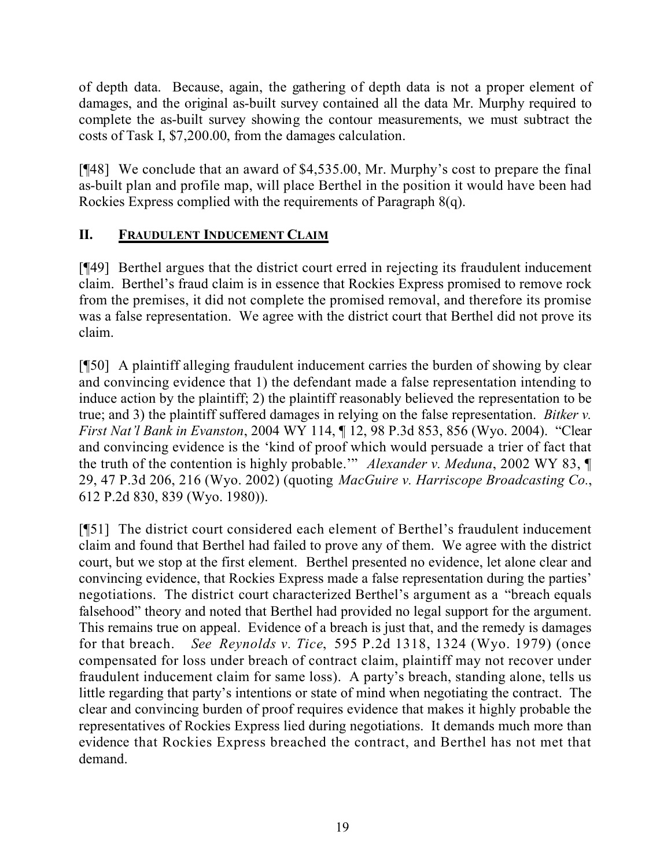of depth data. Because, again, the gathering of depth data is not a proper element of damages, and the original as-built survey contained all the data Mr. Murphy required to complete the as-built survey showing the contour measurements, we must subtract the costs of Task I, \$7,200.00, from the damages calculation.

[¶48] We conclude that an award of \$4,535.00, Mr. Murphy's cost to prepare the final as-built plan and profile map, will place Berthel in the position it would have been had Rockies Express complied with the requirements of Paragraph 8(q).

## **II. FRAUDULENT INDUCEMENT CLAIM**

[¶49] Berthel argues that the district court erred in rejecting its fraudulent inducement claim. Berthel's fraud claim is in essence that Rockies Express promised to remove rock from the premises, it did not complete the promised removal, and therefore its promise was a false representation. We agree with the district court that Berthel did not prove its claim.

[¶50] A plaintiff alleging fraudulent inducement carries the burden of showing by clear and convincing evidence that 1) the defendant made a false representation intending to induce action by the plaintiff; 2) the plaintiff reasonably believed the representation to be true; and 3) the plaintiff suffered damages in relying on the false representation. *Bitker v. First Nat'l Bank in Evanston*, 2004 WY 114, ¶ 12, 98 P.3d 853, 856 (Wyo. 2004). "Clear and convincing evidence is the 'kind of proof which would persuade a trier of fact that the truth of the contention is highly probable.'" *Alexander v. Meduna*, 2002 WY 83, ¶ 29, 47 P.3d 206, 216 (Wyo. 2002) (quoting *MacGuire v. Harriscope Broadcasting Co.*, 612 P.2d 830, 839 (Wyo. 1980)).

[¶51] The district court considered each element of Berthel's fraudulent inducement claim and found that Berthel had failed to prove any of them. We agree with the district court, but we stop at the first element. Berthel presented no evidence, let alone clear and convincing evidence, that Rockies Express made a false representation during the parties' negotiations. The district court characterized Berthel's argument as a "breach equals falsehood" theory and noted that Berthel had provided no legal support for the argument. This remains true on appeal. Evidence of a breach is just that, and the remedy is damages for that breach. *See Reynolds v. Tice*, 595 P.2d 1318, 1324 (Wyo. 1979) (once compensated for loss under breach of contract claim, plaintiff may not recover under fraudulent inducement claim for same loss). A party's breach, standing alone, tells us little regarding that party's intentions or state of mind when negotiating the contract. The clear and convincing burden of proof requires evidence that makes it highly probable the representatives of Rockies Express lied during negotiations. It demands much more than evidence that Rockies Express breached the contract, and Berthel has not met that demand.